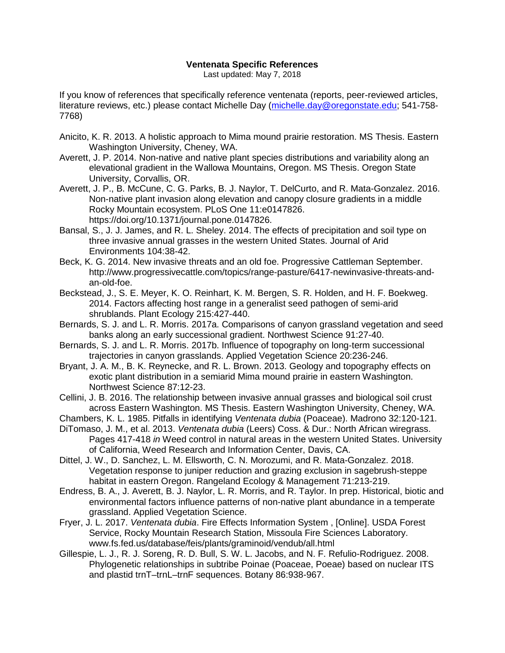## **Ventenata Specific References**

Last updated: May 7, 2018

If you know of references that specifically reference ventenata (reports, peer-reviewed articles, literature reviews, etc.) please contact Michelle Day [\(michelle.day@oregonstate.edu;](mailto:michelle.day@oregonstate.edu) 541-758- 7768)

- Anicito, K. R. 2013. A holistic approach to Mima mound prairie restoration. MS Thesis. Eastern Washington University, Cheney, WA.
- Averett, J. P. 2014. Non-native and native plant species distributions and variability along an elevational gradient in the Wallowa Mountains, Oregon. MS Thesis. Oregon State University, Corvallis, OR.
- Averett, J. P., B. McCune, C. G. Parks, B. J. Naylor, T. DelCurto, and R. Mata-Gonzalez. 2016. Non-native plant invasion along elevation and canopy closure gradients in a middle Rocky Mountain ecosystem. PLoS One 11:e0147826. https://doi.org/10.1371/journal.pone.0147826.
- Bansal, S., J. J. James, and R. L. Sheley. 2014. The effects of precipitation and soil type on three invasive annual grasses in the western United States. Journal of Arid Environments 104:38-42.
- Beck, K. G. 2014. New invasive threats and an old foe. Progressive Cattleman September. http://www.progressivecattle.com/topics/range-pasture/6417-newinvasive-threats-andan-old-foe.
- Beckstead, J., S. E. Meyer, K. O. Reinhart, K. M. Bergen, S. R. Holden, and H. F. Boekweg. 2014. Factors affecting host range in a generalist seed pathogen of semi-arid shrublands. Plant Ecology 215:427-440.
- Bernards, S. J. and L. R. Morris. 2017a. Comparisons of canyon grassland vegetation and seed banks along an early successional gradient. Northwest Science 91:27-40.
- Bernards, S. J. and L. R. Morris. 2017b. Influence of topography on long‐term successional trajectories in canyon grasslands. Applied Vegetation Science 20:236-246.
- Bryant, J. A. M., B. K. Reynecke, and R. L. Brown. 2013. Geology and topography effects on exotic plant distribution in a semiarid Mima mound prairie in eastern Washington. Northwest Science 87:12-23.
- Cellini, J. B. 2016. The relationship between invasive annual grasses and biological soil crust across Eastern Washington. MS Thesis. Eastern Washington University, Cheney, WA.
- Chambers, K. L. 1985. Pitfalls in identifying *Ventenata dubia* (Poaceae). Madrono 32:120-121.
- DiTomaso, J. M., et al. 2013. *Ventenata dubia* (Leers) Coss. & Dur.: North African wiregrass. Pages 417-418 *in* Weed control in natural areas in the western United States. University of California, Weed Research and Information Center, Davis, CA.
- Dittel, J. W., D. Sanchez, L. M. Ellsworth, C. N. Morozumi, and R. Mata-Gonzalez. 2018. Vegetation response to juniper reduction and grazing exclusion in sagebrush-steppe habitat in eastern Oregon. Rangeland Ecology & Management 71:213-219.
- Endress, B. A., J. Averett, B. J. Naylor, L. R. Morris, and R. Taylor. In prep. Historical, biotic and environmental factors influence patterns of non-native plant abundance in a temperate grassland. Applied Vegetation Science.
- Fryer, J. L. 2017. *Ventenata dubia*. Fire Effects Information System , [Online]. USDA Forest Service, Rocky Mountain Research Station, Missoula Fire Sciences Laboratory. www.fs.fed.us/database/feis/plants/graminoid/vendub/all.html
- Gillespie, L. J., R. J. Soreng, R. D. Bull, S. W. L. Jacobs, and N. F. Refulio-Rodriguez. 2008. Phylogenetic relationships in subtribe Poinae (Poaceae, Poeae) based on nuclear ITS and plastid trnT–trnL–trnF sequences. Botany 86:938-967.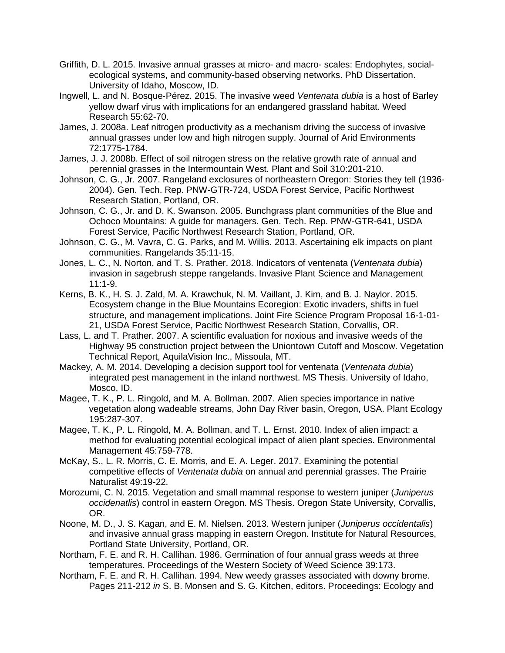- Griffith, D. L. 2015. Invasive annual grasses at micro- and macro- scales: Endophytes, socialecological systems, and community-based observing networks. PhD Dissertation. University of Idaho, Moscow, ID.
- Ingwell, L. and N. Bosque‐Pérez. 2015. The invasive weed *Ventenata dubia* is a host of Barley yellow dwarf virus with implications for an endangered grassland habitat. Weed Research 55:62-70.
- James, J. 2008a. Leaf nitrogen productivity as a mechanism driving the success of invasive annual grasses under low and high nitrogen supply. Journal of Arid Environments 72:1775-1784.
- James, J. J. 2008b. Effect of soil nitrogen stress on the relative growth rate of annual and perennial grasses in the Intermountain West. Plant and Soil 310:201-210.
- Johnson, C. G., Jr. 2007. Rangeland exclosures of northeastern Oregon: Stories they tell (1936- 2004). Gen. Tech. Rep. PNW-GTR-724, USDA Forest Service, Pacific Northwest Research Station, Portland, OR.
- Johnson, C. G., Jr. and D. K. Swanson. 2005. Bunchgrass plant communities of the Blue and Ochoco Mountains: A guide for managers. Gen. Tech. Rep. PNW-GTR-641, USDA Forest Service, Pacific Northwest Research Station, Portland, OR.
- Johnson, C. G., M. Vavra, C. G. Parks, and M. Willis. 2013. Ascertaining elk impacts on plant communities. Rangelands 35:11-15.
- Jones, L. C., N. Norton, and T. S. Prather. 2018. Indicators of ventenata (*Ventenata dubia*) invasion in sagebrush steppe rangelands. Invasive Plant Science and Management 11:1-9.
- Kerns, B. K., H. S. J. Zald, M. A. Krawchuk, N. M. Vaillant, J. Kim, and B. J. Naylor. 2015. Ecosystem change in the Blue Mountains Ecoregion: Exotic invaders, shifts in fuel structure, and management implications. Joint Fire Science Program Proposal 16-1-01- 21, USDA Forest Service, Pacific Northwest Research Station, Corvallis, OR.
- Lass, L. and T. Prather. 2007. A scientific evaluation for noxious and invasive weeds of the Highway 95 construction project between the Uniontown Cutoff and Moscow. Vegetation Technical Report, AquilaVision Inc., Missoula, MT.
- Mackey, A. M. 2014. Developing a decision support tool for ventenata (*Ventenata dubia*) integrated pest management in the inland northwest. MS Thesis. University of Idaho, Mosco, ID.
- Magee, T. K., P. L. Ringold, and M. A. Bollman. 2007. Alien species importance in native vegetation along wadeable streams, John Day River basin, Oregon, USA. Plant Ecology 195:287-307.
- Magee, T. K., P. L. Ringold, M. A. Bollman, and T. L. Ernst. 2010. Index of alien impact: a method for evaluating potential ecological impact of alien plant species. Environmental Management 45:759-778.
- McKay, S., L. R. Morris, C. E. Morris, and E. A. Leger. 2017. Examining the potential competitive effects of *Ventenata dubia* on annual and perennial grasses. The Prairie Naturalist 49:19-22.
- Morozumi, C. N. 2015. Vegetation and small mammal response to western juniper (*Juniperus occidenatlis*) control in eastern Oregon. MS Thesis. Oregon State University, Corvallis, OR.
- Noone, M. D., J. S. Kagan, and E. M. Nielsen. 2013. Western juniper (*Juniperus occidentalis*) and invasive annual grass mapping in eastern Oregon. Institute for Natural Resources, Portland State University, Portland, OR.
- Northam, F. E. and R. H. Callihan. 1986. Germination of four annual grass weeds at three temperatures. Proceedings of the Western Society of Weed Science 39:173.
- Northam, F. E. and R. H. Callihan. 1994. New weedy grasses associated with downy brome. Pages 211-212 *in* S. B. Monsen and S. G. Kitchen, editors. Proceedings: Ecology and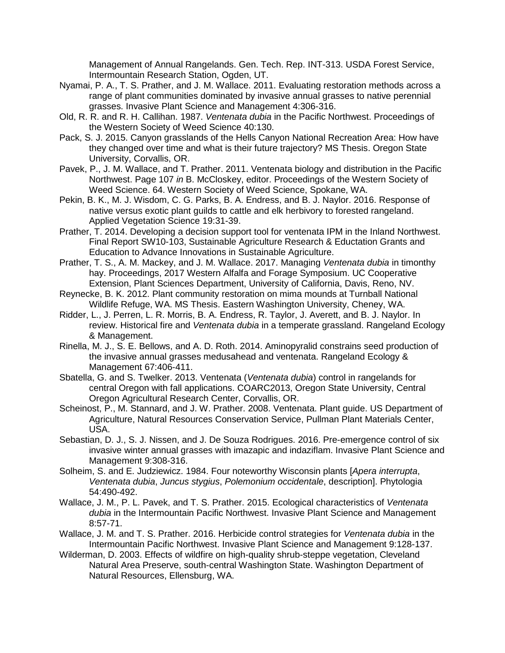Management of Annual Rangelands. Gen. Tech. Rep. INT-313. USDA Forest Service, Intermountain Research Station, Ogden, UT.

- Nyamai, P. A., T. S. Prather, and J. M. Wallace. 2011. Evaluating restoration methods across a range of plant communities dominated by invasive annual grasses to native perennial grasses. Invasive Plant Science and Management 4:306-316.
- Old, R. R. and R. H. Callihan. 1987. *Ventenata dubia* in the Pacific Northwest. Proceedings of the Western Society of Weed Science 40:130.
- Pack, S. J. 2015. Canyon grasslands of the Hells Canyon National Recreation Area: How have they changed over time and what is their future trajectory? MS Thesis. Oregon State University, Corvallis, OR.
- Pavek, P., J. M. Wallace, and T. Prather. 2011. Ventenata biology and distribution in the Pacific Northwest. Page 107 *in* B. McCloskey, editor. Proceedings of the Western Society of Weed Science. 64. Western Society of Weed Science, Spokane, WA.
- Pekin, B. K., M. J. Wisdom, C. G. Parks, B. A. Endress, and B. J. Naylor. 2016. Response of native versus exotic plant guilds to cattle and elk herbivory to forested rangeland. Applied Vegetation Science 19:31-39.
- Prather, T. 2014. Developing a decision support tool for ventenata IPM in the Inland Northwest. Final Report SW10-103, Sustainable Agriculture Research & Eductation Grants and Education to Advance Innovations in Sustainable Agriculture.
- Prather, T. S., A. M. Mackey, and J. M. Wallace. 2017. Managing *Ventenata dubia* in timonthy hay. Proceedings, 2017 Western Alfalfa and Forage Symposium. UC Cooperative Extension, Plant Sciences Department, University of California, Davis, Reno, NV.
- Reynecke, B. K. 2012. Plant community restoration on mima mounds at Turnball National Wildlife Refuge, WA. MS Thesis. Eastern Washington University, Cheney, WA.
- Ridder, L., J. Perren, L. R. Morris, B. A. Endress, R. Taylor, J. Averett, and B. J. Naylor. In review. Historical fire and *Ventenata dubia* in a temperate grassland. Rangeland Ecology & Management.
- Rinella, M. J., S. E. Bellows, and A. D. Roth. 2014. Aminopyralid constrains seed production of the invasive annual grasses medusahead and ventenata. Rangeland Ecology & Management 67:406-411.
- Sbatella, G. and S. Twelker. 2013. Ventenata (*Ventenata dubia*) control in rangelands for central Oregon with fall applications. COARC2013, Oregon State University, Central Oregon Agricultural Research Center, Corvallis, OR.
- Scheinost, P., M. Stannard, and J. W. Prather. 2008. Ventenata. Plant guide. US Department of Agriculture, Natural Resources Conservation Service, Pullman Plant Materials Center, USA.
- Sebastian, D. J., S. J. Nissen, and J. De Souza Rodrigues. 2016. Pre-emergence control of six invasive winter annual grasses with imazapic and indaziflam. Invasive Plant Science and Management 9:308-316.
- Solheim, S. and E. Judziewicz. 1984. Four noteworthy Wisconsin plants [*Apera interrupta*, *Ventenata dubia*, *Juncus stygius*, *Polemonium occidentale*, description]. Phytologia 54:490-492.
- Wallace, J. M., P. L. Pavek, and T. S. Prather. 2015. Ecological characteristics of *Ventenata dubia* in the Intermountain Pacific Northwest. Invasive Plant Science and Management 8:57-71.
- Wallace, J. M. and T. S. Prather. 2016. Herbicide control strategies for *Ventenata dubia* in the Intermountain Pacific Northwest. Invasive Plant Science and Management 9:128-137.
- Wilderman, D. 2003. Effects of wildfire on high-quality shrub-steppe vegetation, Cleveland Natural Area Preserve, south-central Washington State. Washington Department of Natural Resources, Ellensburg, WA.